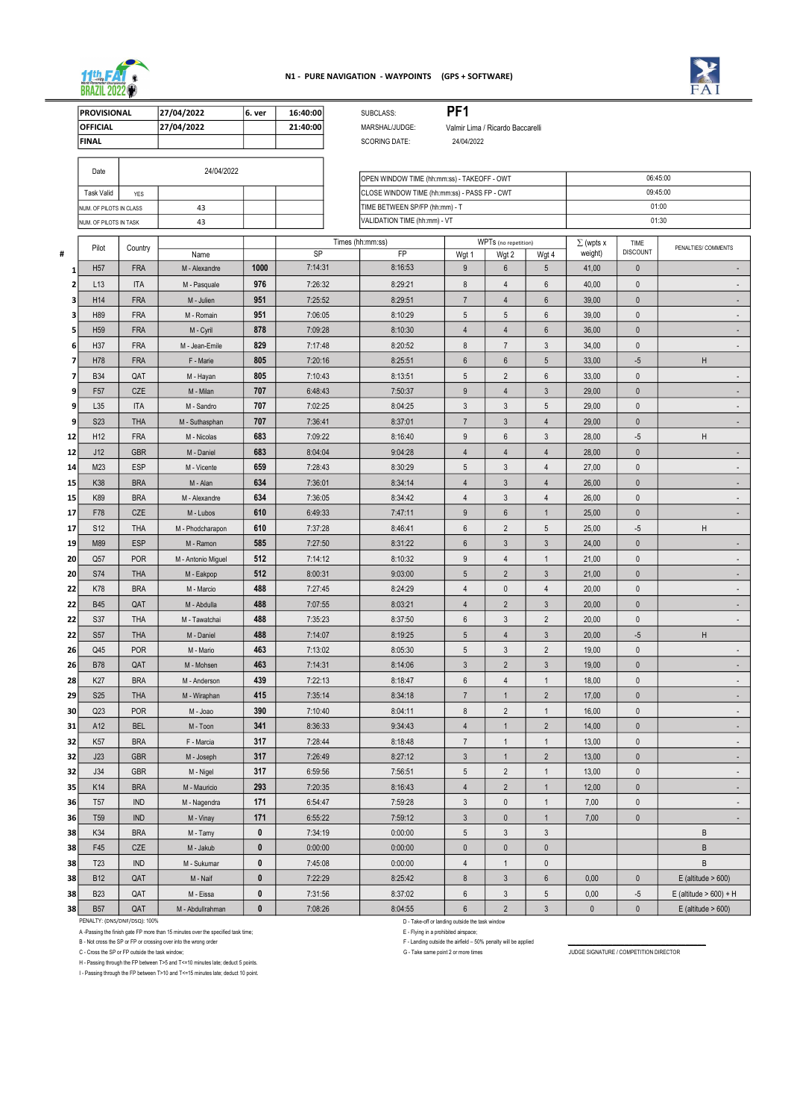|          | <b>PROVISIONAL</b>            |                       | 27/04/2022              | 6. ver                      | 16:40:00           | SUBCLASS:            |                                              | PF <sub>1</sub>     |                                  |                                 |                             |                         |                           |
|----------|-------------------------------|-----------------------|-------------------------|-----------------------------|--------------------|----------------------|----------------------------------------------|---------------------|----------------------------------|---------------------------------|-----------------------------|-------------------------|---------------------------|
|          | <b>OFFICIAL</b>               |                       | 27/04/2022              |                             | 21:40:00           | MARSHAL/JUDGE:       |                                              |                     | Valmir Lima / Ricardo Baccarelli |                                 |                             |                         |                           |
|          | <b>FINAL</b>                  |                       |                         |                             |                    | <b>SCORING DATE:</b> |                                              | 24/04/2022          |                                  |                                 |                             |                         |                           |
|          |                               |                       |                         |                             |                    |                      |                                              |                     |                                  |                                 |                             |                         |                           |
|          | Date                          |                       | 24/04/2022              |                             |                    |                      | OPEN WINDOW TIME (hh:mm:ss) - TAKEOFF - OWT  |                     |                                  |                                 |                             |                         | 06:45:00                  |
|          | <b>Task Valid</b>             | <b>YES</b>            |                         |                             |                    |                      | CLOSE WINDOW TIME (hh:mm:ss) - PASS FP - CWT |                     |                                  |                                 |                             |                         | 09:45:00                  |
|          | NUM. OF PILOTS IN CLASS       |                       | 43                      |                             |                    |                      | TIME BETWEEN SP/FP (hh:mm) - T               |                     |                                  |                                 |                             | 01:00                   |                           |
|          | NUM. OF PILOTS IN TASK        |                       | 43                      |                             |                    |                      | VALIDATION TIME (hh:mm) - VT                 |                     |                                  |                                 |                             |                         | 01:30                     |
|          |                               |                       |                         |                             |                    |                      |                                              |                     |                                  |                                 |                             |                         |                           |
| #        | Pilot                         | Country               | Name                    |                             | SP                 | Times (hh:mm:ss)     | <b>FP</b>                                    |                     | WPTs (no repetition)             |                                 | $\Sigma$ (wpts x<br>weight) | TIME<br><b>DISCOUNT</b> | PENALTIES/ COMMENTS       |
|          | H <sub>57</sub>               | <b>FRA</b>            | M - Alexandre           | 1000                        | 7:14:31            |                      | 8:16:53                                      | Wgt 1<br>9          | Wgt 2<br>$\boldsymbol{6}$        | Wgt 4<br>$5\overline{)}$        | 41,00                       | $\pmb{0}$               |                           |
| 1<br>2   | L13                           | <b>ITA</b>            | M - Pasquale            | 976                         | 7:26:32            |                      | 8:29:21                                      | 8                   | $\overline{4}$                   | $6\phantom{1}$                  | 40,00                       | $\pmb{0}$               |                           |
|          | H14                           | <b>FRA</b>            | M - Julien              | 951                         | 7:25:52            |                      | 8:29:51                                      | $\overline{7}$      | $\overline{4}$                   | 6                               | 39,00                       | $\mathbf 0$             |                           |
|          | H89                           | <b>FRA</b>            | M - Romain              | 951                         | 7:06:05            |                      | 8:10:29                                      | 5                   | $\sqrt{5}$                       | $6\,$                           | 39,00                       | $\pmb{0}$               |                           |
| 5        | H <sub>59</sub>               | <b>FRA</b>            | M - Cyril               | 878                         | 7:09:28            |                      | 8:10:30                                      | $\overline{4}$      | $\overline{4}$                   | 6                               | 36,00                       | $\pmb{0}$               |                           |
| 6        | H37                           | <b>FRA</b>            | M - Jean-Emile          | 829                         | 7:17:48            |                      | 8:20:52                                      | 8                   | $\overline{7}$                   | $\mathfrak{Z}$                  | 34,00                       | $\mathbf 0$             |                           |
|          |                               |                       |                         | 805                         |                    |                      |                                              |                     |                                  |                                 |                             |                         |                           |
| 7<br>7   | H78<br><b>B34</b>             | <b>FRA</b><br>QAT     | F - Marie               | 805                         | 7:20:16<br>7:10:43 |                      | 8:25:51<br>8:13:51                           | 6<br>5              | $\,6\,$<br>$\sqrt{2}$            | 5<br>$6\phantom{1}$             | 33,00                       | $-5$<br>$\mathbf 0$     | H                         |
|          | F <sub>57</sub>               | CZE                   | M - Hayan               | 707                         | 6:48:43            |                      | 7:50:37                                      |                     |                                  |                                 | 33,00<br>29,00              |                         |                           |
| 9<br>9   | L35                           | <b>ITA</b>            | M - Milan<br>M - Sandro | 707                         | 7:02:25            |                      | 8:04:25                                      | 9<br>$\mathfrak{Z}$ | $\overline{4}$<br>$\mathfrak{Z}$ | $\mathbf{3}$<br>5               | 29,00                       | $\pmb{0}$<br>$\pmb{0}$  |                           |
| 9        | S <sub>2</sub> 3              | <b>THA</b>            | M - Suthasphan          | 707                         | 7:36:41            |                      | 8:37:01                                      | $\overline{7}$      | $\sqrt{3}$                       | $\overline{4}$                  | 29,00                       | $\mathbf 0$             |                           |
| 12       | H <sub>12</sub>               | <b>FRA</b>            | M - Nicolas             | 683                         | 7:09:22            |                      | 8:16:40                                      | 9                   | $6\,$                            | $\mathbf{3}$                    | 28,00                       | $-5$                    | H                         |
|          | J12                           | <b>GBR</b>            | M - Daniel              | 683                         | 8:04:04            |                      | 9:04:28                                      | 4                   |                                  | $\overline{4}$                  | 28,00                       | $\mathbf 0$             |                           |
| 12       | M23                           | <b>ESP</b>            | M - Vicente             | 659                         | 7:28:43            |                      | 8:30:29                                      | 5                   | $\overline{4}$<br>$\sqrt{3}$     | $\overline{4}$                  | 27,00                       | $\pmb{0}$               |                           |
| 14       | K38                           | <b>BRA</b>            |                         | 634                         | 7:36:01            |                      | 8:34:14                                      |                     |                                  |                                 |                             |                         |                           |
| 15       |                               |                       | M - Alan                | 634                         |                    |                      |                                              | $\overline{4}$      | $\sqrt{3}$                       | $\overline{4}$                  | 26,00                       | $\pmb{0}$               |                           |
| 15       | K89                           | <b>BRA</b>            | M - Alexandre           |                             | 7:36:05            |                      | 8:34:42                                      | 4                   | $\mathfrak{Z}$                   | $\overline{4}$                  | 26,00                       | $\mathbf 0$             |                           |
| 17       | F78                           | CZE                   | M - Lubos               | 610                         | 6:49:33            |                      | 7:47:11                                      | 9                   | $\boldsymbol{6}$                 | $\mathbf 1$                     | 25,00                       | $\pmb{0}$               |                           |
| 17       | <b>S12</b>                    | THA                   | M - Phodcharapon        | 610                         | 7:37:28            |                      | 8:46:41                                      | $\boldsymbol{6}$    | $\overline{2}$                   | $5\phantom{.0}$                 | 25,00                       | $-5$                    | H                         |
| 19       | M89                           | <b>ESP</b>            | M - Ramon               | 585                         | 7:27:50            |                      | 8:31:22                                      | $6\phantom{.}6$     | $\mathfrak{Z}$                   | $\mathbf{3}$                    | 24,00                       | $\mathbf{0}$            |                           |
| 20       | Q57                           | POR                   | M - Antonio Miguel      | 512                         | 7:14:12            |                      | 8:10:32                                      | 9                   | $\overline{4}$                   | 1                               | 21,00                       | $\pmb{0}$               |                           |
| 20       | <b>S74</b>                    | <b>THA</b>            | M - Eakpop              | 512                         | 8:00:31            |                      | 9:03:00                                      | 5                   | $\overline{2}$                   | $\mathfrak{Z}$                  | 21,00                       | $\pmb{0}$               |                           |
| 22       | <b>K78</b>                    | <b>BRA</b>            | M - Marcio              | 488                         | 7:27:45            |                      | 8:24:29                                      | $\overline{4}$      | $\mathbf 0$                      | $\overline{4}$                  | 20,00                       | $\pmb{0}$               |                           |
| 22       | <b>B45</b>                    | QAT                   | M - Abdulla             | 488                         | 7:07:55            |                      | 8:03:21                                      | 4                   | $\overline{2}$                   | $\mathfrak{Z}$                  | 20,00                       | $\pmb{0}$               |                           |
| 22       | <b>S37</b>                    | <b>THA</b>            | M - Tawatchai           | 488                         | 7:35:23            |                      | 8:37:50                                      | $6\phantom{.0}$     | $\sqrt{3}$                       | $\overline{2}$                  | 20,00                       | $\pmb{0}$               |                           |
| 22       | <b>S57</b>                    | <b>THA</b>            | M - Daniel              | 488                         | 7:14:07            |                      | 8:19:25                                      | $5\phantom{.0}$     | $\overline{4}$                   | $\mathbf{3}$                    | 20,00                       | $-5$                    | H                         |
| 26       | Q45                           | POR                   | M - Mario               | 463                         | 7:13:02            |                      | 8:05:30                                      | $5\phantom{.0}$     | $\mathfrak{Z}$                   | $\overline{2}$                  | 19,00                       | $\pmb{0}$               |                           |
| 26       | <b>B78</b>                    | QAT                   | M - Mohsen              | 463                         | 7:14:31            |                      | 8:14:06                                      | $\mathfrak{Z}$      | $\overline{2}$                   | $\mathbf{3}$                    | 19,00                       | $\pmb{0}$               |                           |
| 28       | K27                           | <b>BRA</b>            | M - Anderson            | 439                         | 7:22:13            |                      | 8:18:47                                      | $\,6\,$             | $\overline{4}$                   | $\overline{1}$                  | 18,00                       | $\pmb{0}$               |                           |
| 29       | <b>S25</b>                    | <b>THA</b>            | M - Wiraphan            | 415                         | 7:35:14            |                      | 8:34:18                                      | $7\overline{ }$     | $\overline{1}$                   | $\sqrt{2}$                      | 17,00                       | $\pmb{0}$               |                           |
| 30       | Q23                           | <b>POR</b>            | M - Joao                | 390                         | 7:10:40            |                      | 8:04:11                                      | $\bf 8$             | $\overline{2}$                   | $\overline{1}$                  | 16,00                       | $\pmb{0}$               |                           |
| 31       | A12                           | <b>BEL</b>            | M - Toon                | 341                         | 8:36:33            |                      | 9:34:43                                      | $\overline{4}$      | $\mathbf{1}$                     | $\overline{2}$                  | 14,00                       | $\pmb{0}$               |                           |
| 32       | K <sub>57</sub>               | <b>BRA</b>            | F - Marcia              | 317                         | 7:28:44            |                      | 8:18:48                                      | $\overline{7}$      | $\overline{1}$                   | $\overline{1}$                  | 13,00                       | $\pmb{0}$               |                           |
| 32       | J23                           | <b>GBR</b>            | M - Joseph              | 317                         | 7:26:49            |                      | 8:27:12                                      | $\mathfrak{Z}$      | $\mathbf{1}$                     | $\overline{2}$                  | 13,00                       | $\pmb{0}$               |                           |
| 32       | J34                           | <b>GBR</b>            | M - Nigel               | 317                         | 6:59:56            |                      | 7:56:51                                      | 5                   | $\overline{2}$                   | $\overline{1}$                  | 13,00                       | $\pmb{0}$               |                           |
| 35       | K14                           | <b>BRA</b>            | M - Mauricio            | 293                         | 7:20:35            |                      | 8:16:43                                      | $\overline{4}$      | $\overline{2}$                   | $\overline{1}$                  | 12,00                       | $\pmb{0}$               |                           |
| 36       | T <sub>57</sub>               | <b>IND</b>            | M - Nagendra            | 171                         | 6:54:47            |                      | 7:59:28                                      | $\mathbf{3}$        | $\mathbf 0$                      | $\overline{1}$                  | 7,00                        | $\pmb{0}$               |                           |
| 36       | T <sub>59</sub>               | IND                   | M - Vinay               | 171                         | 6:55:22            |                      | 7:59:12                                      | $\mathfrak{Z}$      | $\mathbf 0$                      | $\mathbf 1$                     | 7,00                        | $\pmb{0}$               |                           |
| 38       | K34                           | <b>BRA</b>            | M - Tamy                | $\pmb{0}$                   | 7:34:19            |                      | 0:00:00                                      | 5                   | $\sqrt{3}$                       | $\mathbf{3}$                    |                             |                         | B                         |
| 38       | F45                           | CZE                   | M - Jakub               | $\mathbf{0}$<br>$\mathbf 0$ | 0:00:00            |                      | 0:00:00                                      | $\mathbf 0$         | $\pmb{0}$                        | $\mathbf{0}$                    |                             |                         | B<br>B                    |
| 38<br>38 | T <sub>23</sub><br><b>B12</b> | $\mathsf{IND}$<br>QAT | M - Sukumar<br>M - Naif | $\pmb{0}$                   | 7:45:08<br>7:22:29 |                      | 0:00:00<br>8:25:42                           | 4<br>$\bf 8$        | 1<br>$\mathfrak{Z}$              | $\mathbf{0}$<br>$6\overline{6}$ | 0,00                        | $\mathbf{0}$            | $E$ (altitude > 600)      |
| 38       | <b>B23</b>                    | QAT                   | M - Eissa               | $\pmb{0}$                   | 7:31:56            |                      | 8:37:02                                      | $6\phantom{.0}$     | $\sqrt{3}$                       | $5\phantom{.0}$                 | 0,00                        | $-5$                    | E (altitude $> 600$ ) + H |
|          | <b>B57</b>                    | QAT                   | M - Abdullrahman        | $\mathbf{0}$                | 7:08:26            |                      | 8:04:55                                      | $6\phantom{.0}$     | $\overline{2}$                   | $\mathfrak{Z}$                  | $\pmb{0}$                   | $\mathbf{0}$            | $E$ (altitude > 600)      |
| 38       |                               |                       |                         |                             |                    |                      |                                              |                     |                                  |                                 |                             |                         |                           |

A -Passing the finish gate FP more than 15 minutes over the specified task time; example of the specified airspace;

H - Passing through the FP between T>5 and T<=10 minutes late; deduct 5 points.

I - Passing through the FP between T>10 and T<=15 minutes late; deduct 10 point.

PENALTY: (DNS/DNF/DSQ): 100% 0 0 - Take-off or landing outside the task window

B - Not cross the SP or FP or crossing over into the wrong order F - Landing outside the airfield – 50% penalty will be applied

C - Cross the SP or FP outside the task window; **General contract of the SC - Take same point 2 or more times** JUDGE SIGNATURE / COMPETITION DIRECTOR



## N1 - PURE NAVIGATION - WAYPOINTS (GPS + SOFTWARE)